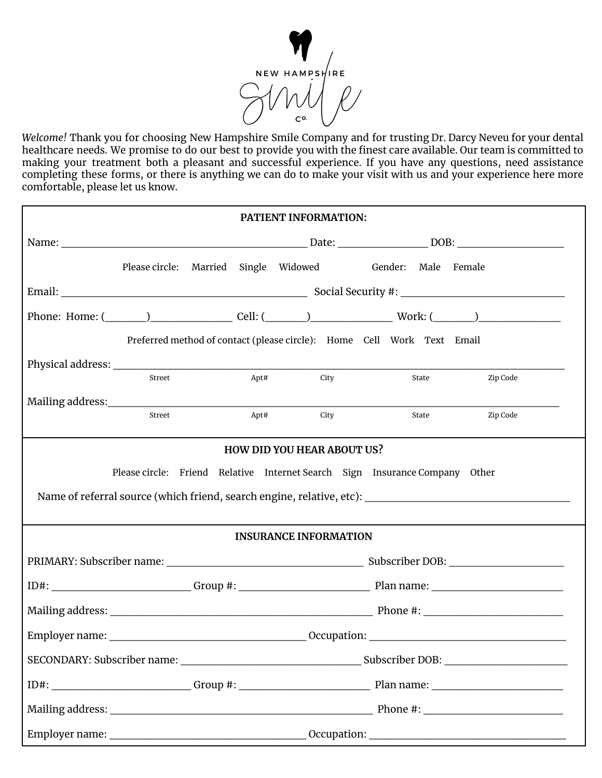

*Welcome!* Thank you for choosing New Hampshire Smile Company and for trusting Dr. Darcy Neveu for your dental healthcare needs. We promise to do our best to provide you with the finest care available. Our team is committed to making your treatment both a pleasant and successful experience. If you have any questions, need assistance completing these forms, or there is anything we can do to make your visit with us and your experience here more comfortable, please let us know.

| PATIENT INFORMATION: |                                   |      |                              |                                                                                                                                             |          |
|----------------------|-----------------------------------|------|------------------------------|---------------------------------------------------------------------------------------------------------------------------------------------|----------|
|                      |                                   |      |                              |                                                                                                                                             |          |
|                      |                                   |      |                              | Please circle: Married Single Widowed Gender: Male Female                                                                                   |          |
|                      |                                   |      |                              |                                                                                                                                             |          |
|                      |                                   |      |                              |                                                                                                                                             |          |
|                      |                                   |      |                              | Preferred method of contact (please circle): Home Cell Work Text Email                                                                      |          |
|                      |                                   |      |                              |                                                                                                                                             |          |
|                      | Street                            | Apt# | <b>City</b>                  | State                                                                                                                                       | Zip Code |
|                      | Street                            |      | Apt#<br>City                 | State                                                                                                                                       | Zip Code |
|                      |                                   |      |                              |                                                                                                                                             |          |
|                      | <b>HOW DID YOU HEAR ABOUT US?</b> |      |                              |                                                                                                                                             |          |
|                      |                                   |      |                              | Please circle: Friend Relative Internet Search Sign Insurance Company Other                                                                 |          |
|                      |                                   |      |                              | Name of referral source (which friend, search engine, relative, etc): Name of referral source (which friend, search engine, relative, etc): |          |
|                      |                                   |      | <b>INSURANCE INFORMATION</b> |                                                                                                                                             |          |
|                      |                                   |      |                              |                                                                                                                                             |          |
|                      |                                   |      |                              |                                                                                                                                             |          |
|                      |                                   |      |                              |                                                                                                                                             |          |
|                      |                                   |      |                              |                                                                                                                                             |          |
|                      |                                   |      |                              |                                                                                                                                             |          |
|                      |                                   |      |                              |                                                                                                                                             |          |
|                      |                                   |      |                              |                                                                                                                                             |          |
|                      |                                   |      |                              |                                                                                                                                             |          |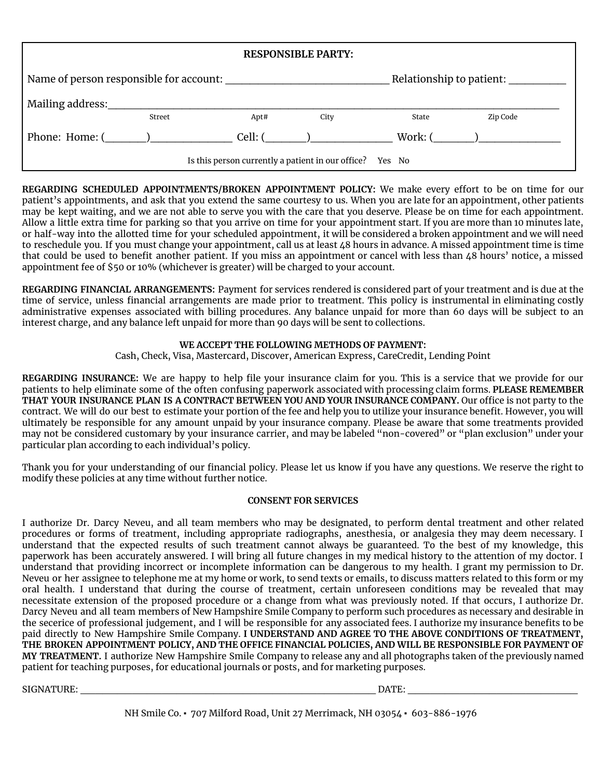| <b>RESPONSIBLE PARTY:</b>                                           |        |      |               |         |          |  |
|---------------------------------------------------------------------|--------|------|---------------|---------|----------|--|
| Name of person responsible for account:<br>Relationship to patient: |        |      |               |         |          |  |
| Mailing address:                                                    | Street | Apt# | City          | State   | Zip Code |  |
| Phone: Home: ( )                                                    |        |      | $Cell: ($ $)$ | Work: ( |          |  |
| Is this person currently a patient in our office? Yes No            |        |      |               |         |          |  |

**REGARDING SCHEDULED APPOINTMENTS/BROKEN APPOINTMENT POLICY:** We make every effort to be on time for our patient's appointments, and ask that you extend the same courtesy to us. When you are late for an appointment, other patients may be kept waiting, and we are not able to serve you with the care that you deserve. Please be on time for each appointment. Allow a little extra time for parking so that you arrive on time for your appointment start. If you are more than 10 minutes late, or half-way into the allotted time for your scheduled appointment, it will be considered a broken appointment and we will need to reschedule you. If you must change your appointment, call us at least 48 hours in advance. A missed appointment time is time that could be used to benefit another patient. If you miss an appointment or cancel with less than 48 hours' notice, a missed appointment fee of \$50 or 10% (whichever is greater) will be charged to your account.

**REGARDING FINANCIAL ARRANGEMENTS:** Payment for services rendered is considered part of your treatment and is due at the time of service, unless financial arrangements are made prior to treatment. This policy is instrumental in eliminating costly administrative expenses associated with billing procedures. Any balance unpaid for more than 60 days will be subject to an interest charge, and any balance left unpaid for more than 90 days will be sent to collections.

### **WE ACCEPT THE FOLLOWING METHODS OF PAYMENT:**

Cash, Check, Visa, Mastercard, Discover, American Express, CareCredit, Lending Point

**REGARDING INSURANCE:** We are happy to help file your insurance claim for you. This is a service that we provide for our patients to help eliminate some of the often confusing paperwork associated with processing claim forms. **PLEASE REMEMBER THAT YOUR INSURANCE PLAN IS A CONTRACT BETWEEN YOU AND YOUR INSURANCE COMPANY.** Our office is not party to the contract. We will do our best to estimate your portion of the fee and help you to utilize your insurance benefit. However, you will ultimately be responsible for any amount unpaid by your insurance company. Please be aware that some treatments provided may not be considered customary by your insurance carrier, and may be labeled "non-covered" or "plan exclusion" under your particular plan according to each individual's policy.

Thank you for your understanding of our financial policy. Please let us know if you have any questions. We reserve the right to modify these policies at any time without further notice.

### **CONSENT FOR SERVICES**

I authorize Dr. Darcy Neveu, and all team members who may be designated, to perform dental treatment and other related procedures or forms of treatment, including appropriate radiographs, anesthesia, or analgesia they may deem necessary. I understand that the expected results of such treatment cannot always be guaranteed. To the best of my knowledge, this paperwork has been accurately answered. I will bring all future changes in my medical history to the attention of my doctor. I understand that providing incorrect or incomplete information can be dangerous to my health. I grant my permission to Dr. Neveu or her assignee to telephone me at my home or work, to send texts or emails, to discuss matters related to this form or my oral health. I understand that during the course of treatment, certain unforeseen conditions may be revealed that may necessitate extension of the proposed procedure or a change from what was previously noted. If that occurs, I authorize Dr. Darcy Neveu and all team members of New Hampshire Smile Company to perform such procedures as necessary and desirable in the secerice of professional judgement, and I will be responsible for any associated fees. I authorize my insurance benefits to be paid directly to New Hampshire Smile Company. **I UNDERSTAND AND AGREE TO THE ABOVE CONDITIONS OF TREATMENT, THE BROKEN APPOINTMENT POLICY, AND THE OFFICE FINANCIAL POLICIES, AND WILL BE RESPONSIBLE FOR PAYMENT OF MY TREATMENT.** I authorize New Hampshire Smile Company to release any and all photographs taken of the previously named patient for teaching purposes, for educational journals or posts, and for marketing purposes.

SIGNATURE: \_\_\_\_\_\_\_\_\_\_\_\_\_\_\_\_\_\_\_\_\_\_\_\_\_\_\_\_\_\_\_\_\_\_\_\_\_\_\_\_ DATE: \_\_\_\_\_\_\_\_\_\_\_\_\_\_\_\_\_\_\_\_\_\_\_

NH Smile Co. ▪ 707 Milford Road, Unit 27 Merrimack, NH 03054 ▪ 603-886-1976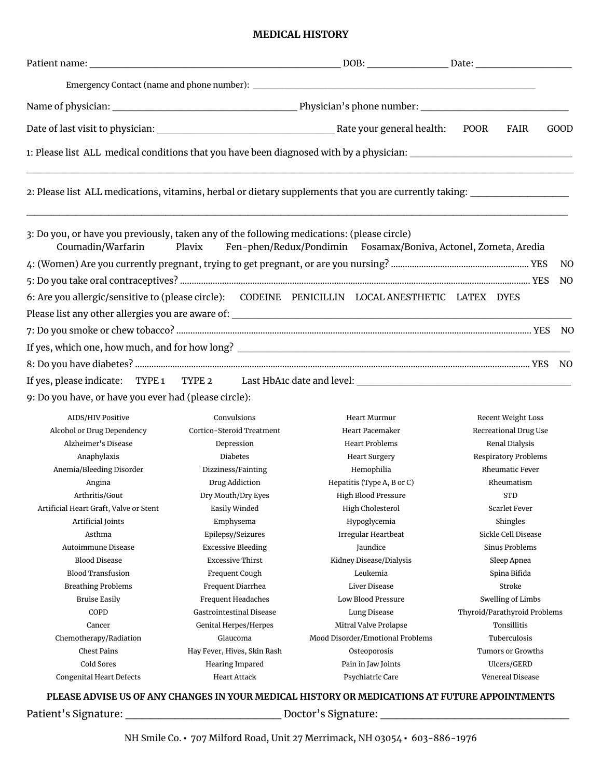## **MEDICAL HISTORY**

| <b>GOOD</b><br>POOR<br>FAIR<br>1: Please list ALL medical conditions that you have been diagnosed with by a physician:<br>2: Please list ALL medications, vitamins, herbal or dietary supplements that you are currently taking: ________________________________<br>3: Do you, or have you previously, taken any of the following medications: (please circle)<br>Coumadin/Warfarin<br>Fen-phen/Redux/Pondimin Fosamax/Boniva, Actonel, Zometa, Aredia<br>Plavix |        |  |  |  |
|-------------------------------------------------------------------------------------------------------------------------------------------------------------------------------------------------------------------------------------------------------------------------------------------------------------------------------------------------------------------------------------------------------------------------------------------------------------------|--------|--|--|--|
|                                                                                                                                                                                                                                                                                                                                                                                                                                                                   |        |  |  |  |
|                                                                                                                                                                                                                                                                                                                                                                                                                                                                   |        |  |  |  |
|                                                                                                                                                                                                                                                                                                                                                                                                                                                                   |        |  |  |  |
|                                                                                                                                                                                                                                                                                                                                                                                                                                                                   |        |  |  |  |
|                                                                                                                                                                                                                                                                                                                                                                                                                                                                   |        |  |  |  |
|                                                                                                                                                                                                                                                                                                                                                                                                                                                                   |        |  |  |  |
|                                                                                                                                                                                                                                                                                                                                                                                                                                                                   | NO.    |  |  |  |
|                                                                                                                                                                                                                                                                                                                                                                                                                                                                   | NO.    |  |  |  |
| 6: Are you allergic/sensitive to (please circle): CODEINE PENICILLIN LOCAL ANESTHETIC LATEX DYES                                                                                                                                                                                                                                                                                                                                                                  |        |  |  |  |
|                                                                                                                                                                                                                                                                                                                                                                                                                                                                   |        |  |  |  |
|                                                                                                                                                                                                                                                                                                                                                                                                                                                                   | NO.    |  |  |  |
|                                                                                                                                                                                                                                                                                                                                                                                                                                                                   |        |  |  |  |
|                                                                                                                                                                                                                                                                                                                                                                                                                                                                   |        |  |  |  |
|                                                                                                                                                                                                                                                                                                                                                                                                                                                                   | NO.    |  |  |  |
|                                                                                                                                                                                                                                                                                                                                                                                                                                                                   |        |  |  |  |
| 9: Do you have, or have you ever had (please circle):                                                                                                                                                                                                                                                                                                                                                                                                             |        |  |  |  |
| <b>AIDS/HIV Positive</b><br>Convulsions<br>Heart Murmur<br>Recent Weight Loss                                                                                                                                                                                                                                                                                                                                                                                     |        |  |  |  |
| Cortico-Steroid Treatment<br>Alcohol or Drug Dependency<br>Heart Pacemaker<br>Recreational Drug Use                                                                                                                                                                                                                                                                                                                                                               |        |  |  |  |
| Alzheimer's Disease<br><b>Heart Problems</b><br>Renal Dialysis<br>Depression                                                                                                                                                                                                                                                                                                                                                                                      |        |  |  |  |
| Anaphylaxis<br><b>Diabetes</b><br>Respiratory Problems<br><b>Heart Surgery</b>                                                                                                                                                                                                                                                                                                                                                                                    |        |  |  |  |
| Anemia/Bleeding Disorder<br>Dizziness/Fainting<br>Hemophilia<br><b>Rheumatic Fever</b>                                                                                                                                                                                                                                                                                                                                                                            |        |  |  |  |
| Drug Addiction<br>Hepatitis (Type A, B or C)<br>Angina<br>Rheumatism                                                                                                                                                                                                                                                                                                                                                                                              |        |  |  |  |
| Arthritis/Gout<br>Dry Mouth/Dry Eyes<br><b>High Blood Pressure</b><br><b>STD</b>                                                                                                                                                                                                                                                                                                                                                                                  |        |  |  |  |
| Artificial Heart Graft, Valve or Stent<br>Easily Winded<br>High Cholesterol<br>Scarlet Fever                                                                                                                                                                                                                                                                                                                                                                      |        |  |  |  |
| Artificial Joints<br>Emphysema<br>Hypoglycemia<br>Shingles                                                                                                                                                                                                                                                                                                                                                                                                        |        |  |  |  |
| Sickle Cell Disease<br>Asthma<br>Epilepsy/Seizures<br>Irregular Heartbeat                                                                                                                                                                                                                                                                                                                                                                                         |        |  |  |  |
| Autoimmune Disease<br><b>Excessive Bleeding</b><br>Jaundice<br>Sinus Problems                                                                                                                                                                                                                                                                                                                                                                                     |        |  |  |  |
| <b>Blood Disease</b><br>Kidney Disease/Dialysis<br><b>Excessive Thirst</b><br>Sleep Apnea                                                                                                                                                                                                                                                                                                                                                                         |        |  |  |  |
| <b>Blood Transfusion</b><br>Leukemia<br>Spina Bifida<br>Frequent Cough                                                                                                                                                                                                                                                                                                                                                                                            |        |  |  |  |
| <b>Breathing Problems</b><br>Liver Disease<br>Frequent Diarrhea<br><b>Bruise Easily</b><br><b>Low Blood Pressure</b>                                                                                                                                                                                                                                                                                                                                              | Stroke |  |  |  |
| <b>Swelling of Limbs</b><br>Frequent Headaches<br>COPD<br>Gastrointestinal Disease                                                                                                                                                                                                                                                                                                                                                                                |        |  |  |  |
| Thyroid/Parathyroid Problems<br>Lung Disease<br>Tonsillitis<br>Genital Herpes/Herpes<br>Mitral Valve Prolapse<br>Cancer                                                                                                                                                                                                                                                                                                                                           |        |  |  |  |
| Mood Disorder/Emotional Problems<br>Chemotherapy/Radiation<br>Glaucoma<br>Tuberculosis                                                                                                                                                                                                                                                                                                                                                                            |        |  |  |  |

Cold Sores Congenital Heart Defects

Chest Pains

**PLEASE ADVISE US OF ANY CHANGES IN YOUR MEDICAL HISTORY OR MEDICATIONS AT FUTURE APPOINTMENTS**

Osteoporosis Pain in Jaw Joints Psychiatric Care

Tumors or Growths Ulcers/GERD Venereal Disease

Patient's Signature: \_\_\_\_\_\_\_\_\_\_\_\_\_\_\_\_\_\_\_ Doctor's Signature: \_\_\_\_\_\_\_\_\_\_\_\_\_\_\_\_\_\_\_\_\_\_\_

Hay Fever, Hives, Skin Rash Hearing Impared Heart Attack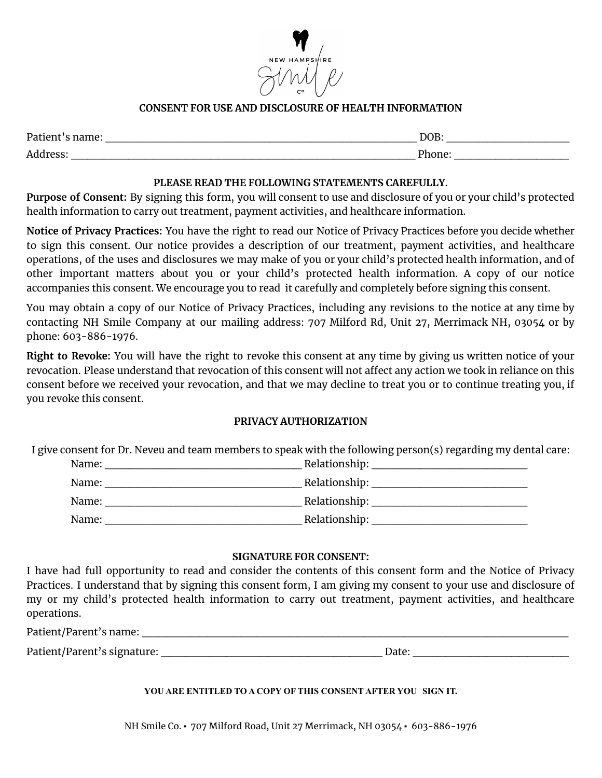

# **CONSENT FOR USE AND DISCLOSURE OF HEALTH INFORMATION**

| Patient's |       |
|-----------|-------|
| $\cdots$  | VВ.   |
| Address   | ∿h∩ne |
| ື່ບປບເ    | .     |

## **PLEASE READ THE FOLLOWING STATEMENTS CAREFULLY.**

**Purpose of Consent:** By signing this form, you will consent to use and disclosure of you or your child's protected health information to carry out treatment, payment activities, and healthcare information.

**Notice of Privacy Practices:** You have the right to read our Notice of Privacy Practices before you decide whether to sign this consent. Our notice provides a description of our treatment, payment activities, and healthcare operations, of the uses and disclosures we may make of you or your child's protected health information, and of other important matters about you or your child's protected health information. A copy of our notice accompanies this consent. We encourage you to read it carefully and completely before signing this consent.

You may obtain a copy of our Notice of Privacy Practices, including any revisions to the notice at any time by contacting NH Smile Company at our mailing address: 707 Milford Rd, Unit 27, Merrimack NH, 03054 or by phone: 603-886-1976.

**Right to Revoke:** You will have the right to revoke this consent at any time by giving us written notice of your revocation. Please understand that revocation of this consent will not affect any action we took in reliance on this consent before we received your revocation, and that we may decline to treat you or to continue treating you, if you revoke this consent.

# **PRIVACY AUTHORIZATION**

I give consent for Dr. Neveu and team members to speak with the following person(s) regarding my dental care:

| Name: | Relationship: |
|-------|---------------|
| Name: | Relationship: |
| Name: | Relationship: |
| Name: | Relationship: |

## **SIGNATURE FOR CONSENT:**

I have had full opportunity to read and consider the contents of this consent form and the Notice of Privacy Practices. I understand that by signing this consent form, I am giving my consent to your use and disclosure of my or my child's protected health information to carry out treatment, payment activities, and healthcare operations.

| Patient/Parent's name: |  |
|------------------------|--|
|                        |  |

Patient/Parent's signature: \_\_\_\_\_\_\_\_\_\_\_\_\_\_\_\_\_\_\_\_\_\_\_\_\_\_\_ Date: \_\_\_\_\_\_\_\_\_\_\_\_\_\_\_\_\_\_\_

### **YOU ARE ENTITLED TO A COPY OF THIS CONSENT AFTER YOU SIGN IT.**

NH Smile Co. ▪ 707 Milford Road, Unit 27 Merrimack, NH 03054 ▪ 603-886-1976